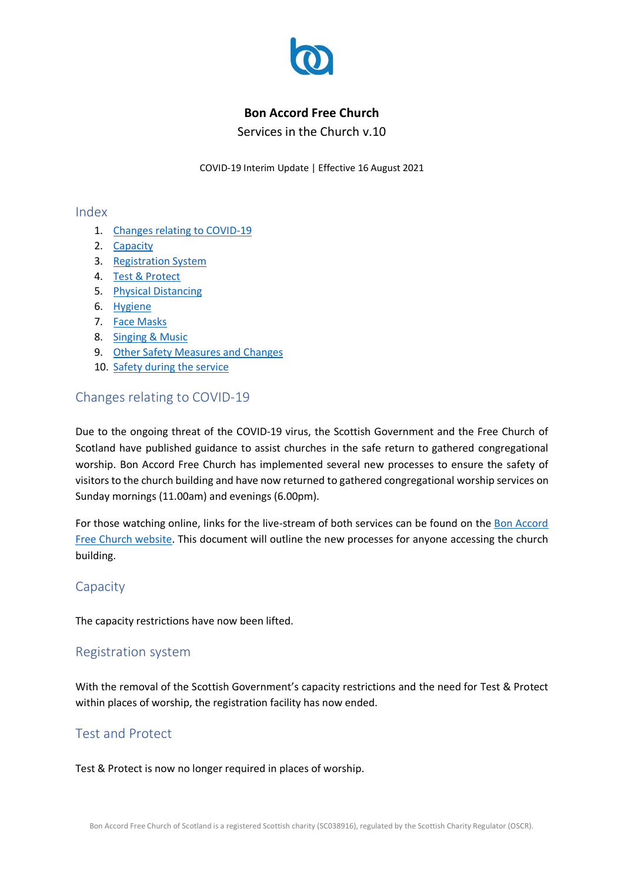

### **Bon Accord Free Church**

Services in the Church v.10

COVID-19 Interim Update | Effective 16 August 2021

#### Index

- 1. Changes relating to COVID-19
- 2. Capacity
- 3. Registration System
- 4. Test & Protect
- 5. Physical Distancing
- 6. Hygiene
- 7. Face Masks
- 8. Singing & Music
- 9. Other Safety Measures and Changes
- 10. Safety during the service

# Changes relating to COVID-19

Due to the ongoing threat of the COVID-19 virus, the Scottish Government and the Free Church of Scotland have published guidance to assist churches in the safe return to gathered congregational worship. Bon Accord Free Church has implemented several new processes to ensure the safety of visitors to the church building and have now returned to gathered congregational worship services on Sunday mornings (11.00am) and evenings (6.00pm).

For those watching online, links for the live-stream of both services can be found on the Bon Accord Free Church website. This document will outline the new processes for anyone accessing the church building.

### Capacity

The capacity restrictions have now been lifted.

### Registration system

With the removal of the Scottish Government's capacity restrictions and the need for Test & Protect within places of worship, the registration facility has now ended.

# Test and Protect

Test & Protect is now no longer required in places of worship.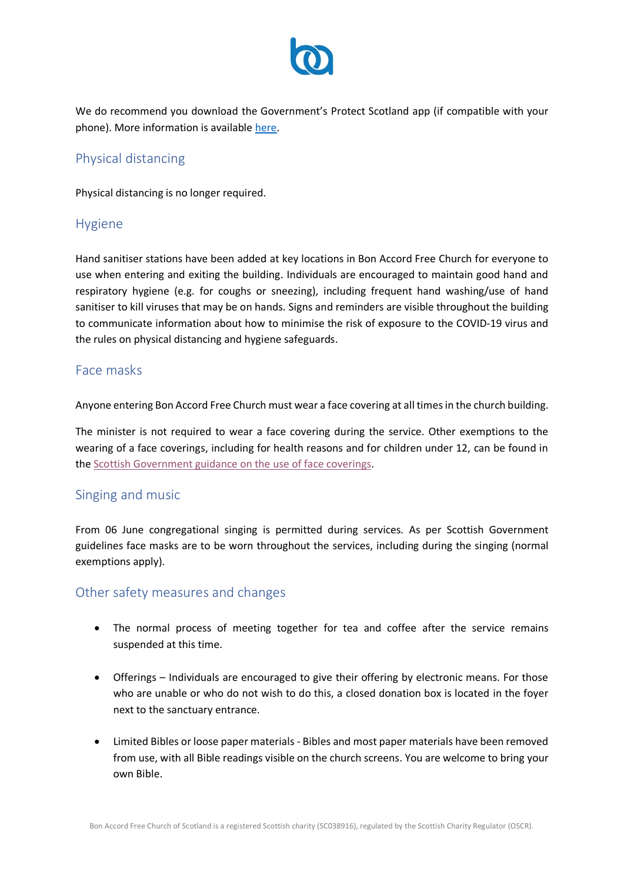

We do recommend you download the Government's Protect Scotland app (if compatible with your phone). More information is available [here.](https://protect.scot/)

## Physical distancing

Physical distancing is no longer required.

#### Hygiene

Hand sanitiser stations have been added at key locations in Bon Accord Free Church for everyone to use when entering and exiting the building. Individuals are encouraged to maintain good hand and respiratory hygiene (e.g. for coughs or sneezing), including frequent hand washing/use of hand sanitiser to kill viruses that may be on hands. Signs and reminders are visible throughout the building to communicate information about how to minimise the risk of exposure to the COVID-19 virus and the rules on physical distancing and hygiene safeguards.

#### Face masks

Anyone entering Bon Accord Free Church must wear a face covering at all times in the church building.

The minister is not required to wear a face covering during the service. Other exemptions to the wearing of a face coverings, including for health reasons and for children under 12, can be found in the [Scottish Government guidance on the use of face coverings.](https://www.gov.scot/publications/coronavirus-covid-19-phase-3-staying-safe-and-protecting-others/pages/face-coverings/)

### Singing and music

From 06 June congregational singing is permitted during services. As per Scottish Government guidelines face masks are to be worn throughout the services, including during the singing (normal exemptions apply).

### Other safety measures and changes

- The normal process of meeting together for tea and coffee after the service remains suspended at this time.
- Offerings Individuals are encouraged to give their offering by electronic means. For those who are unable or who do not wish to do this, a closed donation box is located in the foyer next to the sanctuary entrance.
- Limited Bibles or loose paper materials Bibles and most paper materials have been removed from use, with all Bible readings visible on the church screens. You are welcome to bring your own Bible.